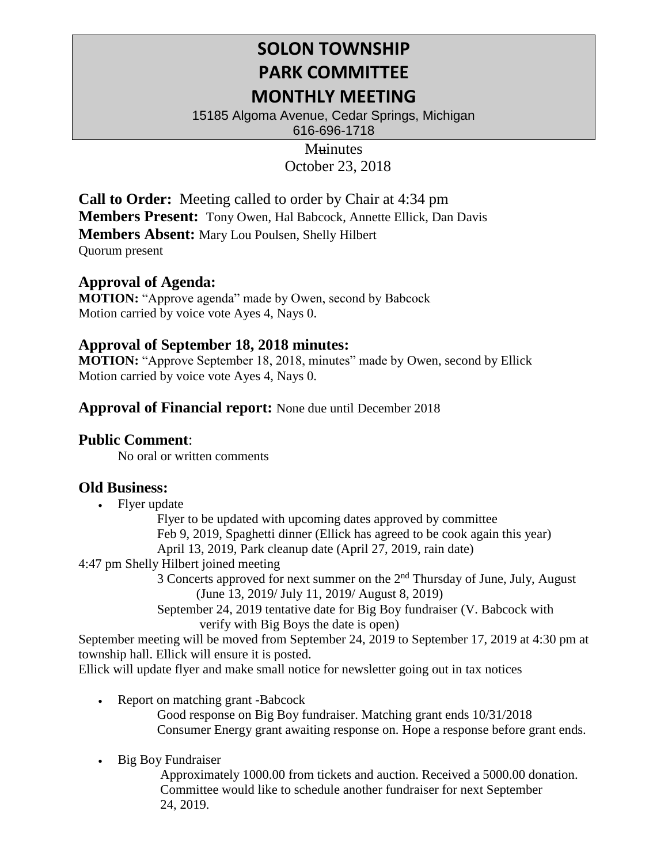# **SOLON TOWNSHIP PARK COMMITTEE MONTHLY MEETING**

15185 Algoma Avenue, Cedar Springs, Michigan 616-696-1718

> **Muinutes** October 23, 2018

**Call to Order:** Meeting called to order by Chair at 4:34 pm **Members Present:** Tony Owen, Hal Babcock, Annette Ellick, Dan Davis **Members Absent:** Mary Lou Poulsen, Shelly Hilbert Quorum present

## **Approval of Agenda:**

**MOTION:** "Approve agenda" made by Owen, second by Babcock Motion carried by voice vote Ayes 4, Nays 0.

## **Approval of September 18, 2018 minutes:**

**MOTION:** "Approve September 18, 2018, minutes" made by Owen, second by Ellick Motion carried by voice vote Ayes 4, Nays 0.

#### **Approval of Financial report:** None due until December 2018

#### **Public Comment**:

No oral or written comments

# **Old Business:**

• Flyer update

Flyer to be updated with upcoming dates approved by committee Feb 9, 2019, Spaghetti dinner (Ellick has agreed to be cook again this year) April 13, 2019, Park cleanup date (April 27, 2019, rain date)

4:47 pm Shelly Hilbert joined meeting

3 Concerts approved for next summer on the  $2<sup>nd</sup>$  Thursday of June, July, August (June 13, 2019/ July 11, 2019/ August 8, 2019)

September 24, 2019 tentative date for Big Boy fundraiser (V. Babcock with verify with Big Boys the date is open)

September meeting will be moved from September 24, 2019 to September 17, 2019 at 4:30 pm at township hall. Ellick will ensure it is posted.

Ellick will update flyer and make small notice for newsletter going out in tax notices

- Report on matching grant -Babcock Good response on Big Boy fundraiser. Matching grant ends 10/31/2018 Consumer Energy grant awaiting response on. Hope a response before grant ends.
- Big Boy Fundraiser

Approximately 1000.00 from tickets and auction. Received a 5000.00 donation. Committee would like to schedule another fundraiser for next September 24, 2019.